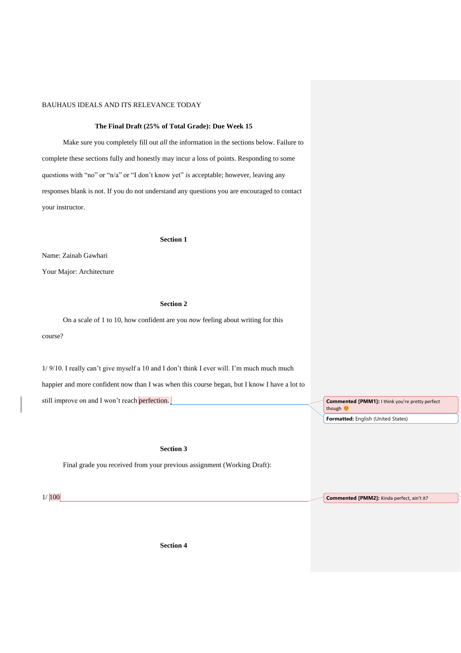### **The Final Draft (25% of Total Grade): Due Week 15**

Make sure you completely fill out *all* the information in the sections below. Failure to complete these sections fully and honestly may incur a loss of points. Responding to some questions with "no" or "n/a" or "I don't know yet" *is* acceptable; however, leaving any responses blank is not. If you do not understand any questions you are encouraged to contact your instructor.

#### **Section 1**

Name: Zainab Gawhari

Your Major: Architecture

# **Section 2**

On a scale of 1 to 10, how confident are you *now* feeling about writing for this course?

1/ 9/10. I really can't give myself a 10 and I don't think I ever will. I'm much much much happier and more confident now than I was when this course began, but I know I have a lot to still improve on and I won't reach perfection.

### **Section 3**

Final grade you received from your previous assignment (Working Draft):

1/ 100

**Section 4**

**Commented [PMM1]:** I think you're pretty perfect though ( **Formatted:** English (United States)

**Commented [PMM2]:** Kinda perfect, ain't it?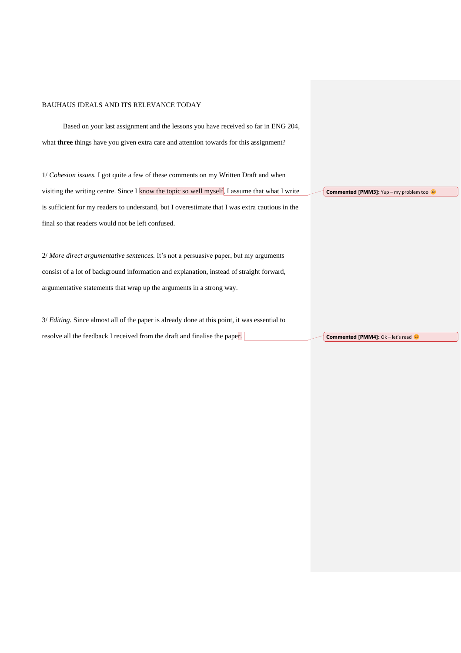Based on your last assignment and the lessons you have received so far in ENG 204, what **three** things have you given extra care and attention towards for this assignment? 1/ *Cohesion issues.* I got quite a few of these comments on my Written Draft and when visiting the writing centre. Since I know the topic so well myself, I assume that what I write is sufficient for my readers to understand, but I overestimate that I was extra cautious in the final so that readers would not be left confused. 2/ *More direct argumentative sentences.* It's not a persuasive paper, but my arguments consist of a lot of background information and explanation, instead of straight forward, argumentative statements that wrap up the arguments in a strong way. **Commented [PMM3]:** Yup – my problem too

3/ *Editing.* Since almost all of the paper is already done at this point, it was essential to resolve all the feedback I received from the draft and finalise the paper. **Commented [PMM4]:** Ok – let's read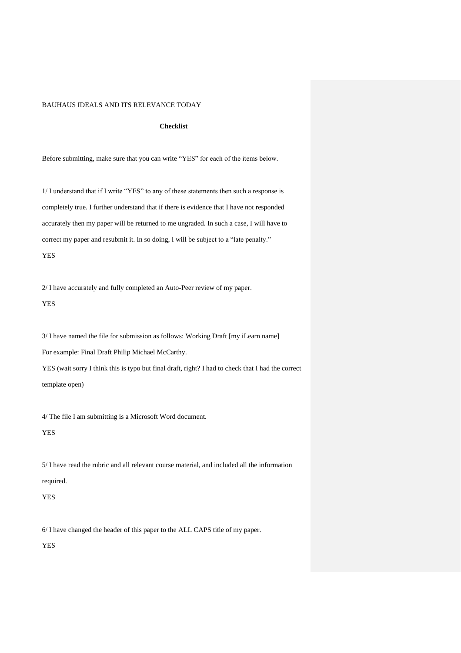### **Checklist**

Before submitting, make sure that you can write "YES" for each of the items below.

1/ I understand that if I write "YES" to any of these statements then such a response is completely true. I further understand that if there is evidence that I have not responded accurately then my paper will be returned to me ungraded. In such a case, I will have to correct my paper and resubmit it. In so doing, I will be subject to a "late penalty." YES

2/ I have accurately and fully completed an Auto-Peer review of my paper.

YES

3/ I have named the file for submission as follows: Working Draft [my iLearn name] For example: Final Draft Philip Michael McCarthy. YES (wait sorry I think this is typo but final draft, right? I had to check that I had the correct template open)

4/ The file I am submitting is a Microsoft Word document.

YES

5/ I have read the rubric and all relevant course material, and included all the information required.

# YES

6/ I have changed the header of this paper to the ALL CAPS title of my paper.

YES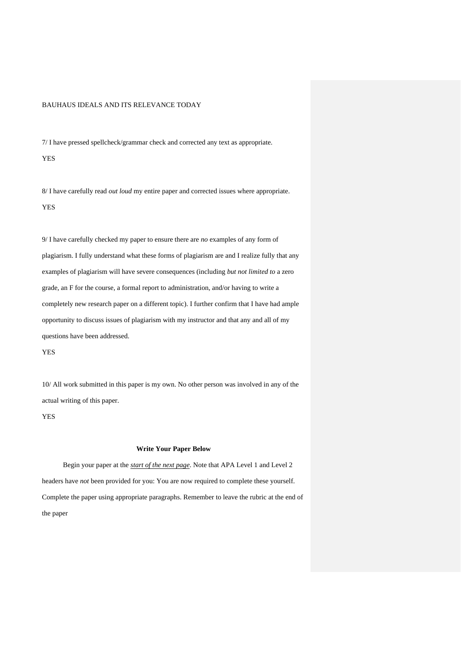7/ I have pressed spellcheck/grammar check and corrected any text as appropriate.

YES

8/ I have carefully read *out loud* my entire paper and corrected issues where appropriate. YES

9/ I have carefully checked my paper to ensure there are *no* examples of any form of plagiarism. I fully understand what these forms of plagiarism are and I realize fully that any examples of plagiarism will have severe consequences (including *but not limited to* a zero grade, an F for the course, a formal report to administration, and/or having to write a completely new research paper on a different topic). I further confirm that I have had ample opportunity to discuss issues of plagiarism with my instructor and that any and all of my questions have been addressed.

YES

10/ All work submitted in this paper is my own. No other person was involved in any of the actual writing of this paper.

YES

### **Write Your Paper Below**

Begin your paper at the *start of the next page*. Note that APA Level 1 and Level 2 headers have *not* been provided for you: You are now required to complete these yourself. Complete the paper using appropriate paragraphs. Remember to leave the rubric at the end of the paper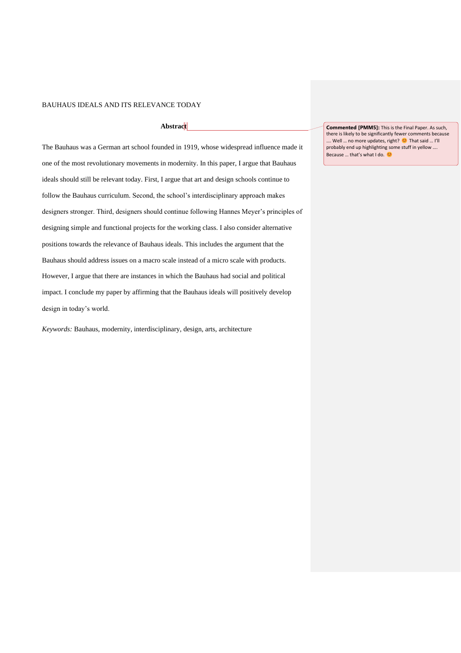# **Abstract**

The Bauhaus was a German art school founded in 1919, whose widespread influence made it one of the most revolutionary movements in modernity. In this paper, I argue that Bauhaus ideals should still be relevant today. First, I argue that art and design schools continue to follow the Bauhaus curriculum. Second, the school's interdisciplinary approach makes designers stronger. Third, designers should continue following Hannes Meyer's principles of designing simple and functional projects for the working class. I also consider alternative positions towards the relevance of Bauhaus ideals. This includes the argument that the Bauhaus should address issues on a macro scale instead of a micro scale with products. However, I argue that there are instances in which the Bauhaus had social and political impact. I conclude my paper by affirming that the Bauhaus ideals will positively develop design in today's world.

*Keywords:* Bauhaus, modernity, interdisciplinary, design, arts, architecture

**Commented [PMM5]:** This is the Final Paper. As such, there is likely to be significantly fewer comments because …. Well … no more updates, right? <sup>©</sup> That said … I'll probably end up highlighting some stuff in yellow …. Because ... that's what I do.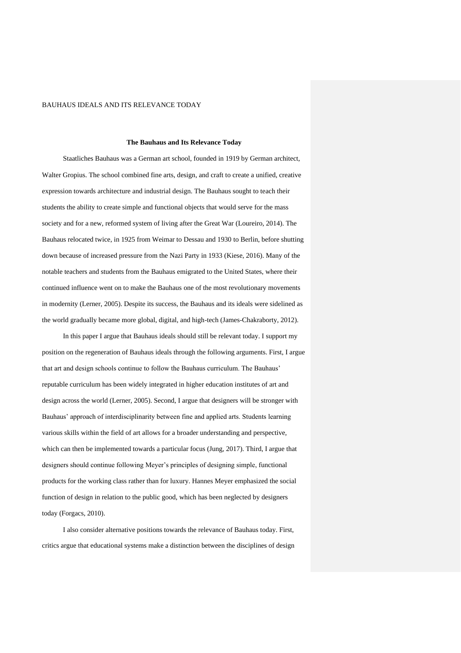#### **The Bauhaus and Its Relevance Today**

Staatliches Bauhaus was a German art school, founded in 1919 by German architect, Walter Gropius. The school combined fine arts, design, and craft to create a unified, creative expression towards architecture and industrial design. The Bauhaus sought to teach their students the ability to create simple and functional objects that would serve for the mass society and for a new, reformed system of living after the Great War (Loureiro, 2014). The Bauhaus relocated twice, in 1925 from Weimar to Dessau and 1930 to Berlin, before shutting down because of increased pressure from the Nazi Party in 1933 (Kiese, 2016). Many of the notable teachers and students from the Bauhaus emigrated to the United States, where their continued influence went on to make the Bauhaus one of the most revolutionary movements in modernity (Lerner, 2005). Despite its success, the Bauhaus and its ideals were sidelined as the world gradually became more global, digital, and high-tech (James-Chakraborty, 2012).

In this paper I argue that Bauhaus ideals should still be relevant today. I support my position on the regeneration of Bauhaus ideals through the following arguments. First, I argue that art and design schools continue to follow the Bauhaus curriculum. The Bauhaus' reputable curriculum has been widely integrated in higher education institutes of art and design across the world (Lerner, 2005). Second, I argue that designers will be stronger with Bauhaus' approach of interdisciplinarity between fine and applied arts. Students learning various skills within the field of art allows for a broader understanding and perspective, which can then be implemented towards a particular focus (Jung, 2017). Third, I argue that designers should continue following Meyer's principles of designing simple, functional products for the working class rather than for luxury. Hannes Meyer emphasized the social function of design in relation to the public good, which has been neglected by designers today (Forgacs, 2010).

I also consider alternative positions towards the relevance of Bauhaus today. First, critics argue that educational systems make a distinction between the disciplines of design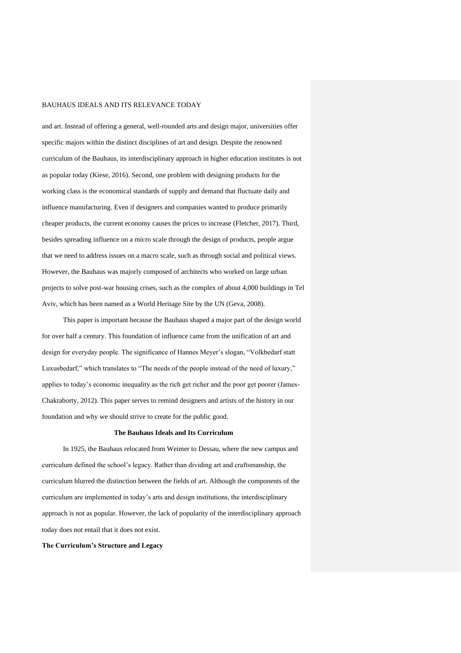and art. Instead of offering a general, well-rounded arts and design major, universities offer specific majors within the distinct disciplines of art and design. Despite the renowned curriculum of the Bauhaus, its interdisciplinary approach in higher education institutes is not as popular today (Kiese, 2016). Second, one problem with designing products for the working class is the economical standards of supply and demand that fluctuate daily and influence manufacturing. Even if designers and companies wanted to produce primarily cheaper products, the current economy causes the prices to increase (Fletcher, 2017). Third, besides spreading influence on a micro scale through the design of products, people argue that we need to address issues on a macro scale, such as through social and political views. However, the Bauhaus was majorly composed of architects who worked on large urban projects to solve post-war housing crises, such as the complex of about 4,000 buildings in Tel Aviv, which has been named as a World Heritage Site by the UN (Geva, 2008).

This paper is important because the Bauhaus shaped a major part of the design world for over half a century. This foundation of influence came from the unification of art and design for everyday people. The significance of Hannes Meyer's slogan, "Volkbedarf statt Luxusbedarf," which translates to "The needs of the people instead of the need of luxury," applies to today's economic inequality as the rich get richer and the poor get poorer (James-Chakraborty, 2012). This paper serves to remind designers and artists of the history in our foundation and why we should strive to create for the public good.

#### **The Bauhaus Ideals and Its Curriculum**

In 1925, the Bauhaus relocated from Weimer to Dessau, where the new campus and curriculum defined the school's legacy. Rather than dividing art and craftsmanship, the curriculum blurred the distinction between the fields of art. Although the components of the curriculum are implemented in today's arts and design institutions, the interdisciplinary approach is not as popular. However, the lack of popularity of the interdisciplinary approach today does not entail that it does not exist.

#### **The Curriculum's Structure and Legacy**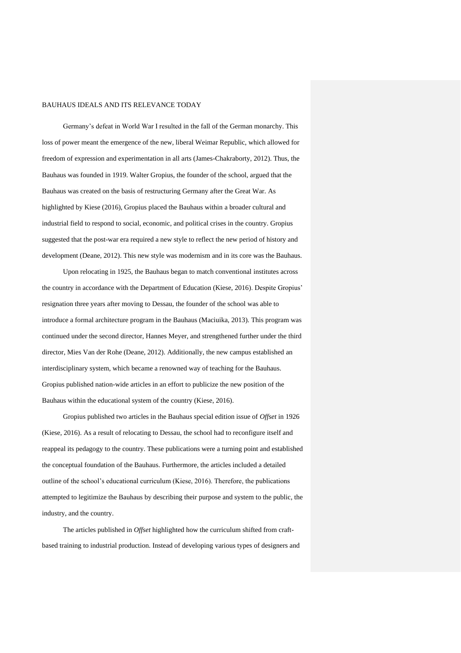Germany's defeat in World War I resulted in the fall of the German monarchy. This loss of power meant the emergence of the new, liberal Weimar Republic, which allowed for freedom of expression and experimentation in all arts (James-Chakraborty, 2012). Thus, the Bauhaus was founded in 1919. Walter Gropius, the founder of the school, argued that the Bauhaus was created on the basis of restructuring Germany after the Great War. As highlighted by Kiese (2016), Gropius placed the Bauhaus within a broader cultural and industrial field to respond to social, economic, and political crises in the country. Gropius suggested that the post-war era required a new style to reflect the new period of history and development (Deane, 2012). This new style was modernism and in its core was the Bauhaus.

Upon relocating in 1925, the Bauhaus began to match conventional institutes across the country in accordance with the Department of Education (Kiese, 2016). Despite Gropius' resignation three years after moving to Dessau, the founder of the school was able to introduce a formal architecture program in the Bauhaus (Maciuika, 2013). This program was continued under the second director, Hannes Meyer, and strengthened further under the third director, Mies Van der Rohe (Deane, 2012). Additionally, the new campus established an interdisciplinary system, which became a renowned way of teaching for the Bauhaus. Gropius published nation-wide articles in an effort to publicize the new position of the Bauhaus within the educational system of the country (Kiese, 2016).

Gropius published two articles in the Bauhaus special edition issue of *Offset* in 1926 (Kiese, 2016). As a result of relocating to Dessau, the school had to reconfigure itself and reappeal its pedagogy to the country. These publications were a turning point and established the conceptual foundation of the Bauhaus. Furthermore, the articles included a detailed outline of the school's educational curriculum (Kiese, 2016). Therefore, the publications attempted to legitimize the Bauhaus by describing their purpose and system to the public, the industry, and the country.

The articles published in *Offset* highlighted how the curriculum shifted from craftbased training to industrial production. Instead of developing various types of designers and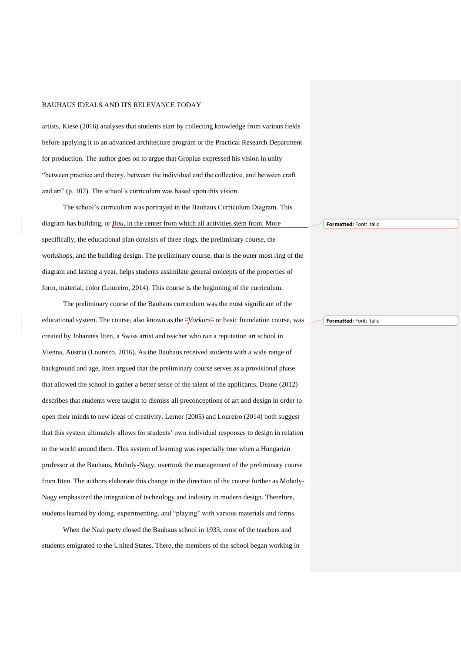artists, Kiese (2016) analyses that students start by collecting knowledge from various fields before applying it to an advanced architecture program or the Practical Research Department for production. The author goes on to argue that Gropius expressed his vision in unity "between practice and theory, between the individual and the collective, and between craft and art" (p. 107). The school's curriculum was based upon this vision.

The school's curriculum was portrayed in the Bauhaus Curriculum Diagram. This diagram has building, or *Bau*, in the center from which all activities stem from. More specifically, the educational plan consists of three rings, the preliminary course, the workshops, and the building design. The preliminary course, that is the outer most ring of the diagram and lasting a year, helps students assimilate general concepts of the properties of form, material, color (Loureiro, 2014). This course is the beginning of the curriculum.

The preliminary course of the Bauhaus curriculum was the most significant of the educational system. The course, also known as the "*Vorkurs*" or basic foundation course, was created by Johannes Itten, a Swiss artist and teacher who ran a reputation art school in Vienna, Austria (Loureiro, 2016). As the Bauhaus received students with a wide range of background and age, Itten argued that the preliminary course serves as a provisional phase that allowed the school to gather a better sense of the talent of the applicants. Deane (2012) describes that students were taught to dismiss all preconceptions of art and design in order to open their minds to new ideas of creativity. Lerner (2005) and Loureiro (2014) both suggest that this system ultimately allows for students' own individual responses to design in relation to the world around them. This system of learning was especially true when a Hungarian professor at the Bauhaus, Moholy-Nagy, overtook the management of the preliminary course from Itten. The authors elaborate this change in the direction of the course further as Moholy-Nagy emphasized the integration of technology and industry in modern design. Therefore, students learned by doing, experimenting, and "playing" with various materials and forms.

When the Nazi party closed the Bauhaus school in 1933, most of the teachers and students emigrated to the United States. There, the members of the school began working in **Formatted:** Font: Italic

**Formatted:** Font: Italic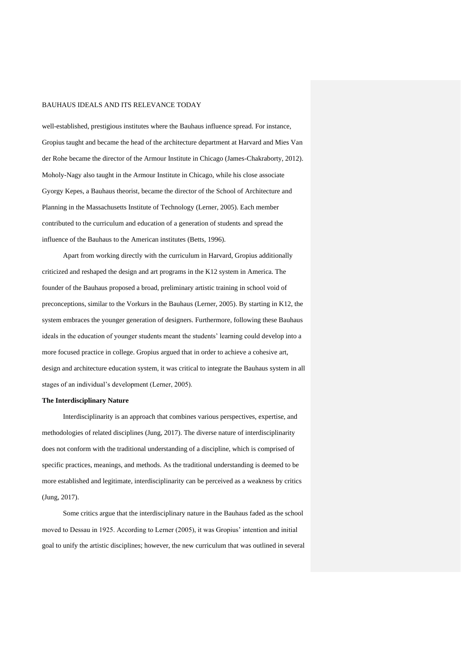well-established, prestigious institutes where the Bauhaus influence spread. For instance, Gropius taught and became the head of the architecture department at Harvard and Mies Van der Rohe became the director of the Armour Institute in Chicago (James-Chakraborty, 2012). Moholy-Nagy also taught in the Armour Institute in Chicago, while his close associate Gyorgy Kepes, a Bauhaus theorist, became the director of the School of Architecture and Planning in the Massachusetts Institute of Technology (Lerner, 2005). Each member contributed to the curriculum and education of a generation of students and spread the influence of the Bauhaus to the American institutes (Betts, 1996).

Apart from working directly with the curriculum in Harvard, Gropius additionally criticized and reshaped the design and art programs in the K12 system in America. The founder of the Bauhaus proposed a broad, preliminary artistic training in school void of preconceptions, similar to the Vorkurs in the Bauhaus (Lerner, 2005). By starting in K12, the system embraces the younger generation of designers. Furthermore, following these Bauhaus ideals in the education of younger students meant the students' learning could develop into a more focused practice in college. Gropius argued that in order to achieve a cohesive art, design and architecture education system, it was critical to integrate the Bauhaus system in all stages of an individual's development (Lerner, 2005).

#### **The Interdisciplinary Nature**

Interdisciplinarity is an approach that combines various perspectives, expertise, and methodologies of related disciplines (Jung, 2017). The diverse nature of interdisciplinarity does not conform with the traditional understanding of a discipline, which is comprised of specific practices, meanings, and methods. As the traditional understanding is deemed to be more established and legitimate, interdisciplinarity can be perceived as a weakness by critics (Jung, 2017).

Some critics argue that the interdisciplinary nature in the Bauhaus faded as the school moved to Dessau in 1925. According to Lerner (2005), it was Gropius' intention and initial goal to unify the artistic disciplines; however, the new curriculum that was outlined in several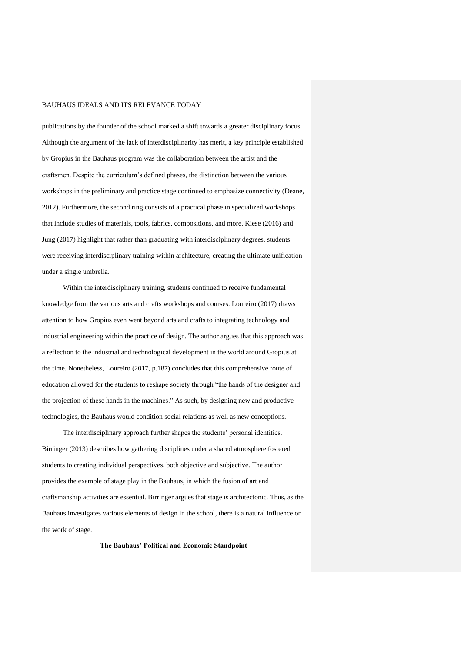publications by the founder of the school marked a shift towards a greater disciplinary focus. Although the argument of the lack of interdisciplinarity has merit, a key principle established by Gropius in the Bauhaus program was the collaboration between the artist and the craftsmen. Despite the curriculum's defined phases, the distinction between the various workshops in the preliminary and practice stage continued to emphasize connectivity (Deane, 2012). Furthermore, the second ring consists of a practical phase in specialized workshops that include studies of materials, tools, fabrics, compositions, and more. Kiese (2016) and Jung (2017) highlight that rather than graduating with interdisciplinary degrees, students were receiving interdisciplinary training within architecture, creating the ultimate unification under a single umbrella.

Within the interdisciplinary training, students continued to receive fundamental knowledge from the various arts and crafts workshops and courses. Loureiro (2017) draws attention to how Gropius even went beyond arts and crafts to integrating technology and industrial engineering within the practice of design. The author argues that this approach was a reflection to the industrial and technological development in the world around Gropius at the time. Nonetheless, Loureiro (2017, p.187) concludes that this comprehensive route of education allowed for the students to reshape society through "the hands of the designer and the projection of these hands in the machines." As such, by designing new and productive technologies, the Bauhaus would condition social relations as well as new conceptions.

The interdisciplinary approach further shapes the students' personal identities. Birringer (2013) describes how gathering disciplines under a shared atmosphere fostered students to creating individual perspectives, both objective and subjective. The author provides the example of stage play in the Bauhaus, in which the fusion of art and craftsmanship activities are essential. Birringer argues that stage is architectonic. Thus, as the Bauhaus investigates various elements of design in the school, there is a natural influence on the work of stage.

**The Bauhaus' Political and Economic Standpoint**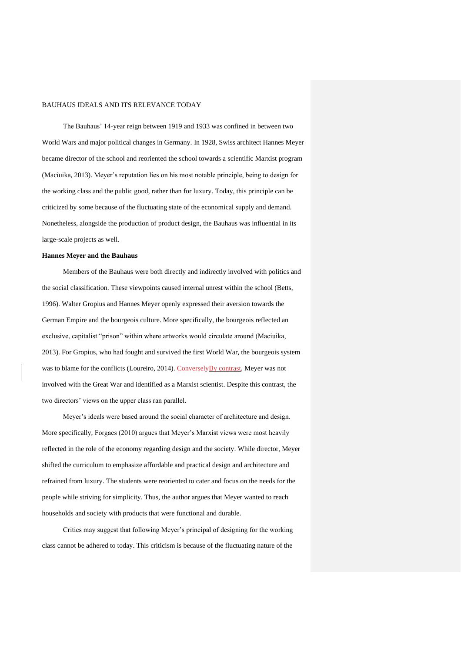The Bauhaus' 14-year reign between 1919 and 1933 was confined in between two World Wars and major political changes in Germany. In 1928, Swiss architect Hannes Meyer became director of the school and reoriented the school towards a scientific Marxist program (Maciuika, 2013). Meyer's reputation lies on his most notable principle, being to design for the working class and the public good, rather than for luxury. Today, this principle can be criticized by some because of the fluctuating state of the economical supply and demand. Nonetheless, alongside the production of product design, the Bauhaus was influential in its large-scale projects as well.

#### **Hannes Meyer and the Bauhaus**

Members of the Bauhaus were both directly and indirectly involved with politics and the social classification. These viewpoints caused internal unrest within the school (Betts, 1996). Walter Gropius and Hannes Meyer openly expressed their aversion towards the German Empire and the bourgeois culture. More specifically, the bourgeois reflected an exclusive, capitalist "prison" within where artworks would circulate around (Maciuika, 2013). For Gropius, who had fought and survived the first World War, the bourgeois system was to blame for the conflicts (Loureiro, 2014). Conversely By contrast, Meyer was not involved with the Great War and identified as a Marxist scientist. Despite this contrast, the two directors' views on the upper class ran parallel.

Meyer's ideals were based around the social character of architecture and design. More specifically, Forgacs (2010) argues that Meyer's Marxist views were most heavily reflected in the role of the economy regarding design and the society. While director, Meyer shifted the curriculum to emphasize affordable and practical design and architecture and refrained from luxury. The students were reoriented to cater and focus on the needs for the people while striving for simplicity. Thus, the author argues that Meyer wanted to reach households and society with products that were functional and durable.

Critics may suggest that following Meyer's principal of designing for the working class cannot be adhered to today. This criticism is because of the fluctuating nature of the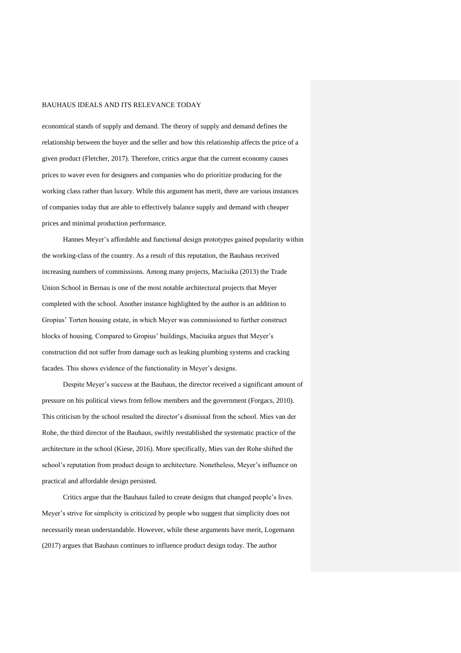economical stands of supply and demand. The theory of supply and demand defines the relationship between the buyer and the seller and how this relationship affects the price of a given product (Fletcher, 2017). Therefore, critics argue that the current economy causes prices to waver even for designers and companies who do prioritize producing for the working class rather than luxury. While this argument has merit, there are various instances of companies today that are able to effectively balance supply and demand with cheaper prices and minimal production performance.

Hannes Meyer's affordable and functional design prototypes gained popularity within the working-class of the country. As a result of this reputation, the Bauhaus received increasing numbers of commissions. Among many projects, Maciuika (2013) the Trade Union School in Bernau is one of the most notable architectural projects that Meyer completed with the school. Another instance highlighted by the author is an addition to Gropius' Torten housing estate, in which Meyer was commissioned to further construct blocks of housing. Compared to Gropius' buildings, Maciuika argues that Meyer's construction did not suffer from damage such as leaking plumbing systems and cracking facades. This shows evidence of the functionality in Meyer's designs.

Despite Meyer's success at the Bauhaus, the director received a significant amount of pressure on his political views from fellow members and the government (Forgacs, 2010). This criticism by the school resulted the director's dismissal from the school. Mies van der Rohe, the third director of the Bauhaus, swiftly reestablished the systematic practice of the architecture in the school (Kiese, 2016). More specifically, Mies van der Rohe shifted the school's reputation from product design to architecture. Nonetheless, Meyer's influence on practical and affordable design persisted.

Critics argue that the Bauhaus failed to create designs that changed people's lives. Meyer's strive for simplicity is criticized by people who suggest that simplicity does not necessarily mean understandable. However, while these arguments have merit, Logemann (2017) argues that Bauhaus continues to influence product design today. The author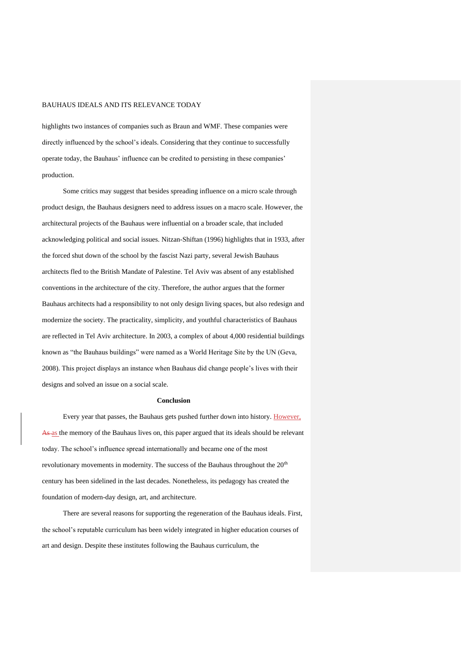highlights two instances of companies such as Braun and WMF. These companies were directly influenced by the school's ideals. Considering that they continue to successfully operate today, the Bauhaus' influence can be credited to persisting in these companies' production.

Some critics may suggest that besides spreading influence on a micro scale through product design, the Bauhaus designers need to address issues on a macro scale. However, the architectural projects of the Bauhaus were influential on a broader scale, that included acknowledging political and social issues. Nitzan-Shiftan (1996) highlights that in 1933, after the forced shut down of the school by the fascist Nazi party, several Jewish Bauhaus architects fled to the British Mandate of Palestine. Tel Aviv was absent of any established conventions in the architecture of the city. Therefore, the author argues that the former Bauhaus architects had a responsibility to not only design living spaces, but also redesign and modernize the society. The practicality, simplicity, and youthful characteristics of Bauhaus are reflected in Tel Aviv architecture. In 2003, a complex of about 4,000 residential buildings known as "the Bauhaus buildings" were named as a World Heritage Site by the UN (Geva, 2008). This project displays an instance when Bauhaus did change people's lives with their designs and solved an issue on a social scale.

#### **Conclusion**

Every year that passes, the Bauhaus gets pushed further down into history. However, As as the memory of the Bauhaus lives on, this paper argued that its ideals should be relevant today. The school's influence spread internationally and became one of the most revolutionary movements in modernity. The success of the Bauhaus throughout the 20<sup>th</sup> century has been sidelined in the last decades. Nonetheless, its pedagogy has created the foundation of modern-day design, art, and architecture.

There are several reasons for supporting the regeneration of the Bauhaus ideals. First, the school's reputable curriculum has been widely integrated in higher education courses of art and design. Despite these institutes following the Bauhaus curriculum, the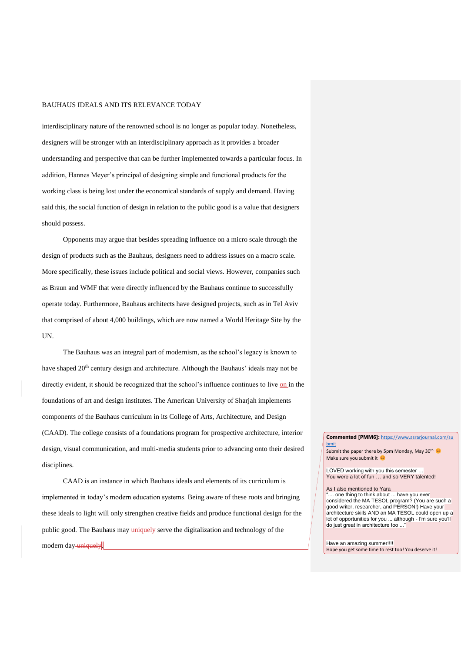interdisciplinary nature of the renowned school is no longer as popular today. Nonetheless, designers will be stronger with an interdisciplinary approach as it provides a broader understanding and perspective that can be further implemented towards a particular focus. In addition, Hannes Meyer's principal of designing simple and functional products for the working class is being lost under the economical standards of supply and demand. Having said this, the social function of design in relation to the public good is a value that designers should possess.

Opponents may argue that besides spreading influence on a micro scale through the design of products such as the Bauhaus, designers need to address issues on a macro scale. More specifically, these issues include political and social views. However, companies such as Braun and WMF that were directly influenced by the Bauhaus continue to successfully operate today. Furthermore, Bauhaus architects have designed projects, such as in Tel Aviv that comprised of about 4,000 buildings, which are now named a World Heritage Site by the UN.

The Bauhaus was an integral part of modernism, as the school's legacy is known to have shaped 20<sup>th</sup> century design and architecture. Although the Bauhaus' ideals may not be directly evident, it should be recognized that the school's influence continues to live on in the foundations of art and design institutes. The American University of Sharjah implements components of the Bauhaus curriculum in its College of Arts, Architecture, and Design (CAAD). The college consists of a foundations program for prospective architecture, interior design, visual communication, and multi-media students prior to advancing onto their desired disciplines.

CAAD is an instance in which Bauhaus ideals and elements of its curriculum is implemented in today's modern education systems. Being aware of these roots and bringing these ideals to light will only strengthen creative fields and produce functional design for the public good. The Bauhaus may *uniquely* serve the digitalization and technology of the modern day-uniquely.

#### **Commented [PMM6]:** [https://www.asrarjournal.com/su](https://www.asrarjournal.com/submit) [bmit](https://www.asrarjournal.com/submit)

Submit the paper there by 5pm Monday, May 30<sup>th</sup> Make sure you submit it

LOVED working with you this semester … You were a lot of fun … and so VERY talented!

#### As I also mentioned to Yara

.. one thing to think about ... have you ever considered the MA TESOL program? (You are such a good writer, researcher, and PERSON!) Have your architecture skills AND an MA TESOL could open up a lot of opportunities for you ... although - I'm sure you'll do just great in architecture too ..."

Have an amazing summer!!!! Hope you get some time to rest too! You deserve it!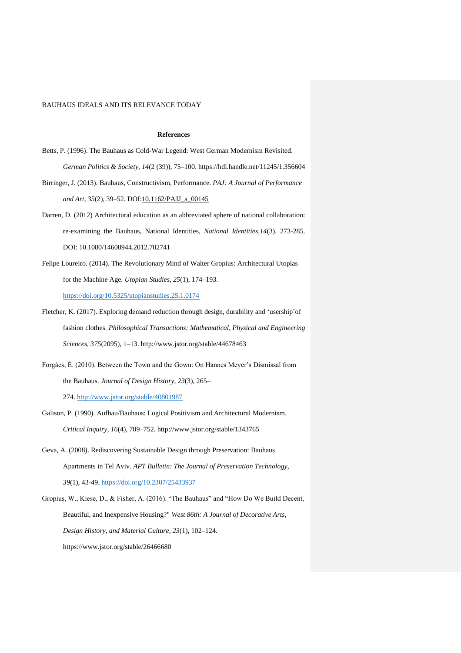### **References**

- Betts, P. (1996). The Bauhaus as Cold-War Legend: West German Modernism Revisited. *German Politics & Society*, *14*(2 (39)), 75–100.<https://hdl.handle.net/11245/1.356604>
- Birringer, J. (2013). Bauhaus, Constructivism, Performance. *PAJ: A Journal of Performance and Art*, *35*(2), 39–52. DOI[:10.1162/PAJJ\\_a\\_00145](http://dx.doi.org/10.1162/PAJJ_a_00145)
- Darren, D. (2012) Architectural education as an abbreviated sphere of national collaboration: re-examining the Bauhaus, National Identities, *National Identities,14*(3). 273-285. DOI: [10.1080/14608944.2012.702741](https://doi.org/10.1080/14608944.2012.702741)
- Felipe Loureiro. (2014). The Revolutionary Mind of Walter Gropius: Architectural Utopias for the Machine Age. *Utopian Studies*, *25*(1), 174–193. <https://doi.org/10.5325/utopianstudies.25.1.0174>
- Fletcher, K. (2017). Exploring demand reduction through design, durability and 'usership'of fashion clothes. *Philosophical Transactions: Mathematical, Physical and Engineering Sciences*, *375*(2095), 1–13. http://www.jstor.org/stable/44678463
- Forgács, É. (2010). Between the Town and the Gown: On Hannes Meyer's Dismissal from the Bauhaus. *Journal of Design History*, *23*(3), 265–

274. <http://www.jstor.org/stable/40801987>

- Galison, P. (1990). Aufbau/Bauhaus: Logical Positivism and Architectural Modernism. *Critical Inquiry*, *16*(4), 709–752. http://www.jstor.org/stable/1343765
- Geva, A. (2008). Rediscovering Sustainable Design through Preservation: Bauhaus Apartments in Tel Aviv. *APT Bulletin: The Journal of Preservation Technology*, *39*(1), 43-49. <https://doi.org/10.2307/25433937>
- Gropius, W., Kiese, D., & Fisher, A. (2016). "The Bauhaus" and "How Do We Build Decent, Beautiful, and Inexpensive Housing?" *West 86th: A Journal of Decorative Arts, Design History, and Material Culture*, *23*(1), 102–124. https://www.jstor.org/stable/26466680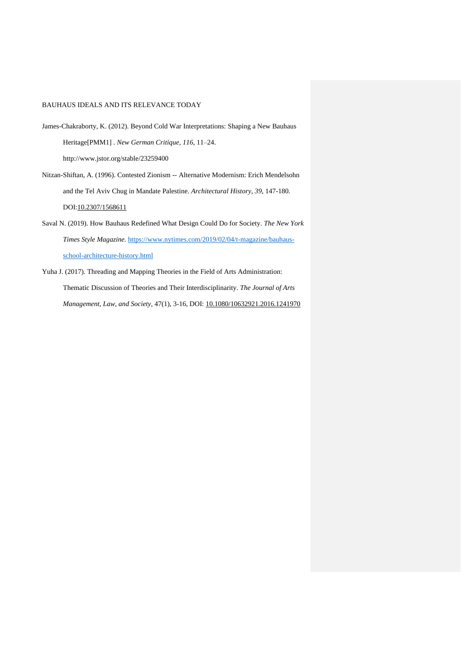- James-Chakraborty, K. (2012). Beyond Cold War Interpretations: Shaping a New Bauhaus Heritage[PMM1] . *New German Critique*, *116*, 11–24. http://www.jstor.org/stable/23259400
- Nitzan-Shiftan, A. (1996). Contested Zionism -- Alternative Modernism: Erich Mendelsohn and the Tel Aviv Chug in Mandate Palestine. *Architectural History*, *39*, 147-180. DOI[:10.2307/1568611](http://dx.doi.org/10.2307/1568611)
- Saval N. (2019). How Bauhaus Redefined What Design Could Do for Society. *The New York Times Style Magazine.* [https://www.nytimes.com/2019/02/04/t-magazine/bauhaus](https://www.nytimes.com/2019/02/04/t-magazine/bauhaus-school-architecture-history.html)[school-architecture-history.html](https://www.nytimes.com/2019/02/04/t-magazine/bauhaus-school-architecture-history.html)
- Yuha J. (2017). Threading and Mapping Theories in the Field of Arts Administration: Thematic Discussion of Theories and Their Interdisciplinarity. *The Journal of Arts Management, Law, and Society,* 47(1), 3-16, DOI: [10.1080/10632921.2016.1241970](https://doi.org/10.1080/10632921.2016.1241970)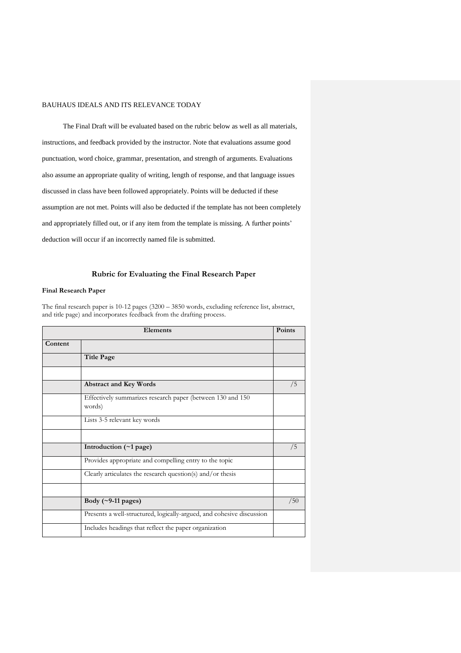The Final Draft will be evaluated based on the rubric below as well as all materials, instructions, and feedback provided by the instructor. Note that evaluations assume good punctuation, word choice, grammar, presentation, and strength of arguments. Evaluations also assume an appropriate quality of writing, length of response, and that language issues discussed in class have been followed appropriately. Points will be deducted if these assumption are not met. Points will also be deducted if the template has not been completely and appropriately filled out, or if any item from the template is missing. A further points' deduction will occur if an incorrectly named file is submitted.

## **Rubric for Evaluating the Final Research Paper**

### **Final Research Paper**

The final research paper is 10-12 pages (3200 – 3850 words, excluding reference list, abstract, and title page) and incorporates feedback from the drafting process.

| Elements |                                                                       | Points |
|----------|-----------------------------------------------------------------------|--------|
| Content  |                                                                       |        |
|          | <b>Title Page</b>                                                     |        |
|          |                                                                       |        |
|          | <b>Abstract and Key Words</b>                                         | /5     |
|          | Effectively summarizes research paper (between 130 and 150<br>words)  |        |
|          | Lists 3-5 relevant key words                                          |        |
|          |                                                                       |        |
|          | Introduction (~1 page)                                                | /5     |
|          | Provides appropriate and compelling entry to the topic                |        |
|          | Clearly articulates the research question(s) and/or thesis            |        |
|          |                                                                       |        |
|          | Body $(\sim 9-11$ pages)                                              | /50    |
|          | Presents a well-structured, logically-argued, and cohesive discussion |        |
|          | Includes headings that reflect the paper organization                 |        |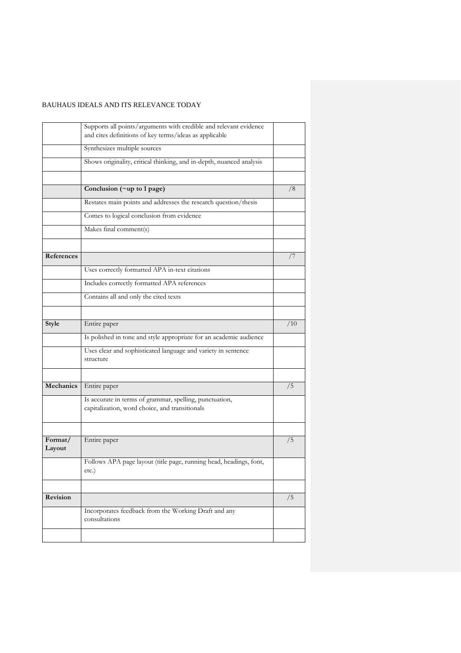|                   | Supports all points/arguments with credible and relevant evidence                                         |     |
|-------------------|-----------------------------------------------------------------------------------------------------------|-----|
|                   | and cites definitions of key terms/ideas as applicable                                                    |     |
|                   | Synthesizes multiple sources                                                                              |     |
|                   | Shows originality, critical thinking, and in-depth, nuanced analysis                                      |     |
|                   |                                                                                                           |     |
|                   | Conclusion (~up to 1 page)                                                                                | /8  |
|                   | Restates main points and addresses the research question/thesis                                           |     |
|                   | Comes to logical conclusion from evidence                                                                 |     |
|                   | Makes final comment(s)                                                                                    |     |
|                   |                                                                                                           |     |
| References        |                                                                                                           | 77  |
|                   | Uses correctly formatted APA in-text citations                                                            |     |
|                   | Includes correctly formatted APA references                                                               |     |
|                   | Contains all and only the cited texts                                                                     |     |
|                   |                                                                                                           |     |
| Style             | Entire paper                                                                                              | /10 |
|                   | Is polished in tone and style appropriate for an academic audience                                        |     |
|                   | Uses clear and sophisticated language and variety in sentence<br>structure                                |     |
|                   |                                                                                                           |     |
| Mechanics         | Entire paper                                                                                              | /5  |
|                   | Is accurate in terms of grammar, spelling, punctuation,<br>capitalization, word choice, and transitionals |     |
|                   |                                                                                                           |     |
| Format/<br>Layout | Entire paper                                                                                              | /5  |
|                   | Follows APA page layout (title page, running head, headings, font,<br>etc.)                               |     |
|                   |                                                                                                           |     |
| Revision          |                                                                                                           | /5  |
|                   | Incorporates feedback from the Working Draft and any<br>consultations                                     |     |
|                   |                                                                                                           |     |